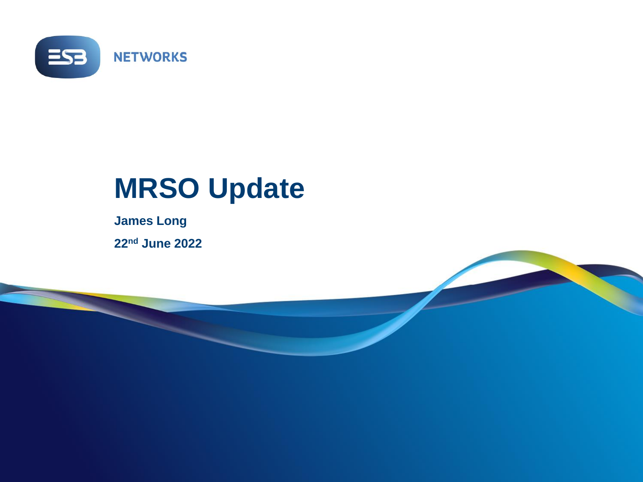

## **MRSO Update**

**James Long 22nd June 2022**

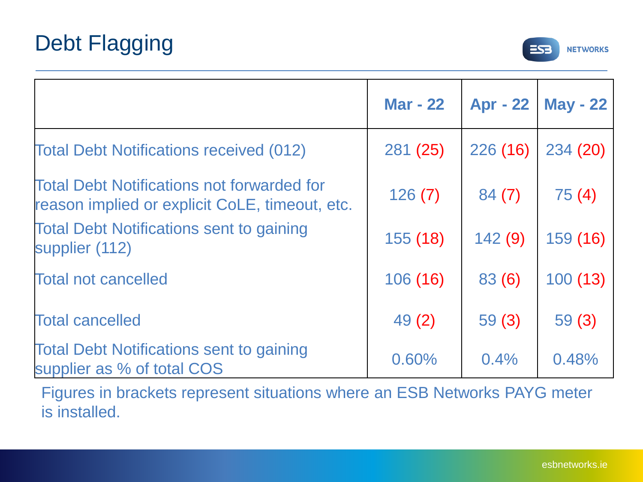

|                                                                                                     | <b>Mar - 22</b> | <b>Apr - 22</b> | <b>May - 22</b> |
|-----------------------------------------------------------------------------------------------------|-----------------|-----------------|-----------------|
| <b>Total Debt Notifications received (012)</b>                                                      | 281 (25)        | 226 (16)        | 234 (20)        |
| <b>Total Debt Notifications not forwarded for</b><br>reason implied or explicit CoLE, timeout, etc. | 126(7)          | 84(7)           | 75(4)           |
| <b>Total Debt Notifications sent to gaining</b><br>supplier (112)                                   | 155(18)         | 142(9)          | 159 (16)        |
| <b>Total not cancelled</b>                                                                          | 106 (16)        | 83(6)           | 100(13)         |
| <b>Total cancelled</b>                                                                              | 49(2)           | 59(3)           | 59(3)           |
| <b>Total Debt Notifications sent to gaining</b><br>supplier as % of total COS                       | 0.60%           | 0.4%            | 0.48%           |

Figures in brackets represent situations where an ESB Networks PAYG meter is installed.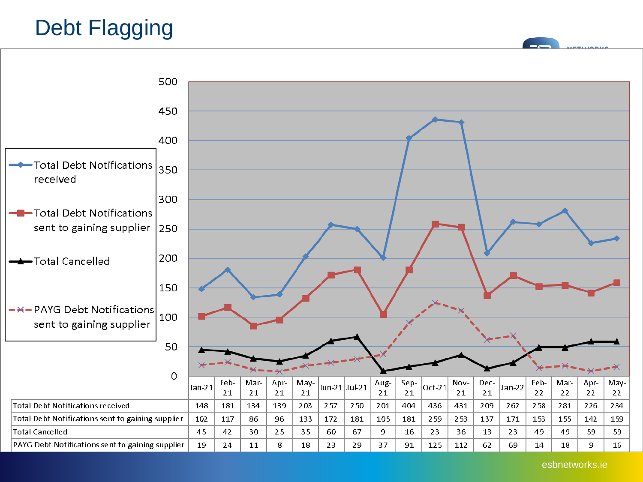## Debt Flagging

**ETUANIA** 



esbnetworks.ie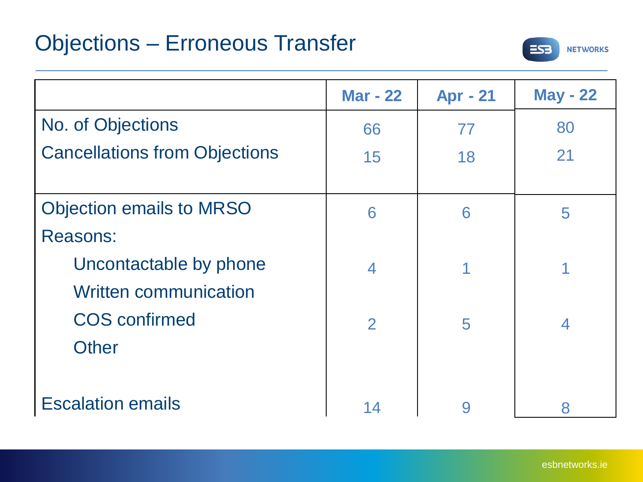

|                                      | <b>Mar - 22</b>          | <b>Apr - 21</b> | <b>May - 22</b> |
|--------------------------------------|--------------------------|-----------------|-----------------|
| No. of Objections                    | 66                       | 77              | 80              |
| <b>Cancellations from Objections</b> | 15                       | 18              | 21              |
|                                      |                          |                 |                 |
| <b>Objection emails to MRSO</b>      | 6                        | 6               | 5               |
| <b>Reasons:</b>                      |                          |                 |                 |
| Uncontactable by phone               | $\overline{\mathcal{A}}$ | 1               |                 |
| <b>Written communication</b>         |                          |                 |                 |
| <b>COS</b> confirmed                 | $\overline{2}$           | 5               | $\overline{4}$  |
| <b>Other</b>                         |                          |                 |                 |
|                                      |                          |                 |                 |
| <b>Escalation emails</b>             | 14                       | 9               | 8               |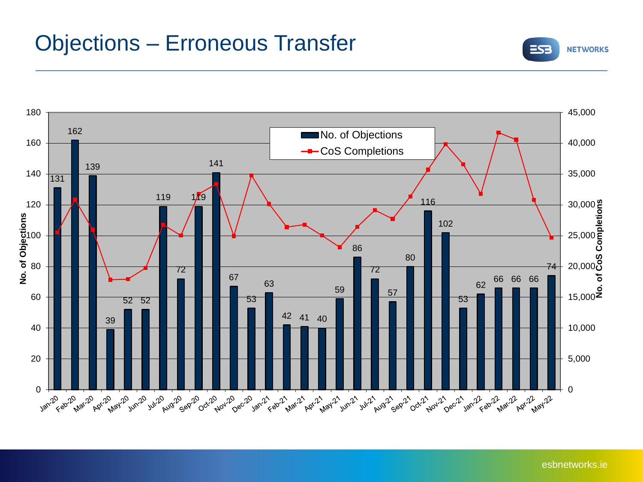## Objections – Erroneous Transfer





esbnetworks.ie